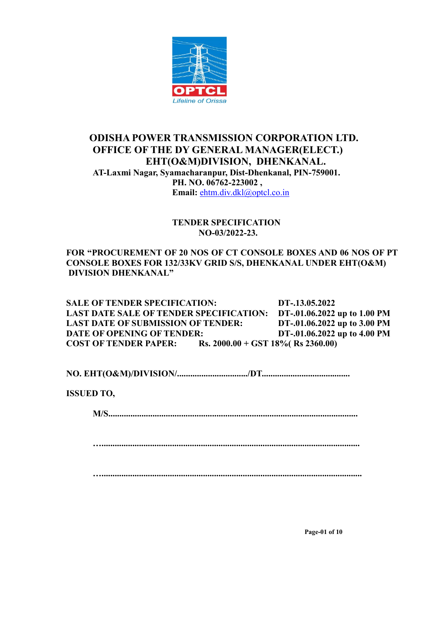

## **ODISHA POWER TRANSMISSION CORPORATION LTD. OFFICE OF THE DY GENERAL MANAGER(ELECT.) EHT(O&M)DIVISION, DHENKANAL. AT-Laxmi Nagar, Syamacharanpur, Dist-Dhenkanal, PIN-759001. PH. NO. 06762-223002 , Email:** [ehtm.div.dkl@optcl.co.in](mailto:ehtm.div.rng@optcl.co.in)

## **TENDER SPECIFICATION NO-03/2022-23.**

**FOR "PROCUREMENT OF 20 NOS OF CT CONSOLE BOXES AND 06 NOS OF PT CONSOLE BOXES FOR 132/33KV GRID S/S, DHENKANAL UNDER EHT(O&M) DIVISION DHENKANAL"**

**SALE OF TENDER SPECIFICATION: DT-.13.05.2022 LAST DATE SALE OF TENDER SPECIFICATION: DT-.01.06.2022 up to 1.00 PM LAST DATE OF SUBMISSION OF TENDER: DT-.01.06.2022 up to 3.00 PM DATE OF OPENING OF TENDER: DT-.01.06.2022 up to 4.00 PM COST OF TENDER PAPER: Rs. 2000.00 + GST 18%( Rs 2360.00)**

**NO. EHT(O&M)/DIVISION/................................/DT........................................**

**ISSUED TO,**

**M/S.................................................................................................................**

**….....................................................................................................................**

**…......................................................................................................................**

**Page-01 of 10**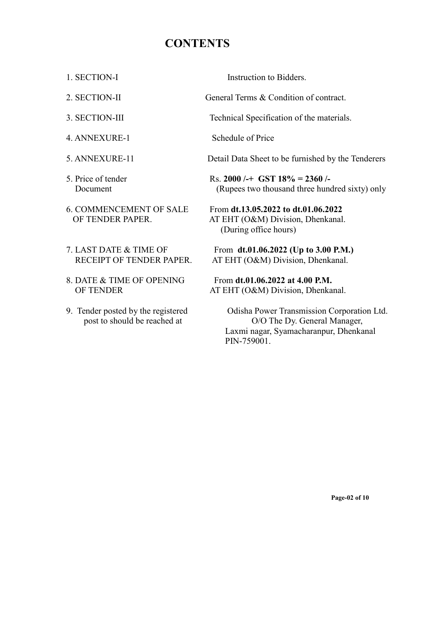## **CONTENTS**

- 
- 
- 
- 4. ANNEXURE-1 Schedule of Price
- 
- 
- 
- 
- 8. DATE & TIME OF OPENING From **dt.01.06.2022 at 4.00 P.M.**
- 

1. SECTION-I Instruction to Bidders.

2. SECTION-II General Terms & Condition of contract.

3. SECTION-III Technical Specification of the materials.

5. ANNEXURE-11 Detail Data Sheet to be furnished by the Tenderers

5. Price of tender Rs. **2000 /-+ GST 18% = 2360 /-** Document (Rupees two thousand three hundred sixty) only

6. COMMENCEMENT OF SALE From **dt.13.05.2022 to dt.01.06.2022** OF TENDER PAPER. AT EHT (O&M) Division, Dhenkanal. (During office hours)

7. LAST DATE & TIME OF From **dt.01.06.2022 (Up to 3.00 P.M.)** RECEIPT OF TENDER PAPER. AT EHT (O&M) Division, Dhenkanal.

OF TENDER AT EHT (O&M) Division, Dhenkanal.

9. Tender posted by the registered Odisha Power Transmission Corporation Ltd. post to should be reached at  $O/O$  The Dy. General Manager, Laxmi nagar, Syamacharanpur, Dhenkanal PIN-759001.

**Page-02 of 10**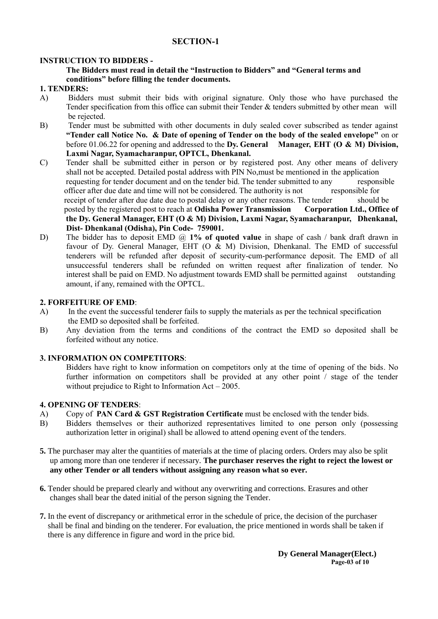## **SECTION-1**

#### **INSTRUCTION TO BIDDERS -**

#### **The Bidders must read in detail the "Instruction to Bidders" and "General terms and conditions" before filling the tender documents.**

#### **1. TENDERS:**

- A) Bidders must submit their bids with original signature. Only those who have purchased the Tender specification from this office can submit their Tender & tenders submitted by other mean will be rejected.
- B) Tender must be submitted with other documents in duly sealed cover subscribed as tender against **"Tender call Notice No. & Date of opening of Tender on the body of the sealed envelope"** on or before 01.06.22 for opening and addressed to the **Dy. General Manager, EHT (O & M) Division, Laxmi Nagar, Syamacharanpur, OPTCL, Dhenkanal.**
- C) Tender shall be submitted either in person or by registered post. Any other means of delivery shall not be accepted. Detailed postal address with PIN No,must be mentioned in the application requesting for tender document and on the tender bid. The tender submitted to any responsible officer after due date and time will not be considered. The authority is not responsible for receipt of tender after due date due to postal delay or any other reasons. The tender should be posted by the registered post to reach at **Odisha Power Transmission Corporation Ltd., Office of the Dy. General Manager, EHT (O & M) Division, Laxmi Nagar, Syamacharanpur, Dhenkanal, Dist- Dhenkanal (Odisha), Pin Code- 759001.**
- D) The bidder has to deposit EMD @ 1% of quoted value in shape of cash / bank draft drawn in favour of Dy. General Manager, EHT (O & M) Division, Dhenkanal. The EMD of successful tenderers will be refunded after deposit of security-cum-performance deposit. The EMD of all unsuccessful tenderers shall be refunded on written request after finalization of tender. No interest shall be paid on EMD. No adjustment towards EMD shall be permitted against outstanding amount, if any, remained with the OPTCL.

#### **2. FORFEITURE OF EMD**:

- A) In the event the successful tenderer fails to supply the materials as per the technical specification the EMD so deposited shall be forfeited.
- B) Any deviation from the terms and conditions of the contract the EMD so deposited shall be forfeited without any notice.

## **3. INFORMATION ON COMPETITORS**:

Bidders have right to know information on competitors only at the time of opening of the bids. No further information on competitors shall be provided at any other point / stage of the tender without prejudice to Right to Information Act – 2005.

#### **4. OPENING OF TENDERS**:

- A) Copy of **PAN Card & GST Registration Certificate** must be enclosed with the tender bids.
- B) Bidders themselves or their authorized representatives limited to one person only (possessing authorization letter in original) shall be allowed to attend opening event of the tenders.
- **5.** The purchaser may alter the quantities of materials at the time of placing orders. Orders may also be split up among more than one tenderer if necessary. **The purchaser reserves the right to reject the lowest or any other Tender or all tenders without assigning any reason what so ever.**
- **6.** Tender should be prepared clearly and without any overwriting and corrections. Erasures and other changes shall bear the dated initial of the person signing the Tender.
- **7.** In the event of discrepancy or arithmetical error in the schedule of price, the decision of the purchaser shall be final and binding on the tenderer. For evaluation, the price mentioned in words shall be taken if there is any difference in figure and word in the price bid.

**Dy General Manager(Elect.) Page-03 of 10**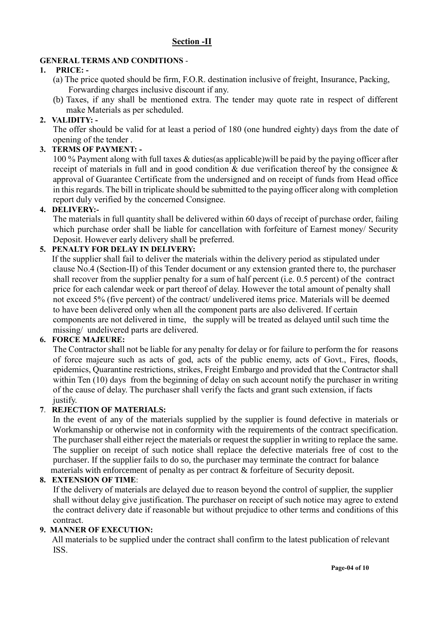## **Section -II**

## **GENERAL TERMS AND CONDITIONS** -

## **1. PRICE: -**

- (a) The price quoted should be firm, F.O.R. destination inclusive of freight, Insurance, Packing, Forwarding charges inclusive discount if any.
- (b) Taxes, if any shall be mentioned extra. The tender may quote rate in respect of different make Materials as per scheduled.

## **2. VALIDITY: -**

The offer should be valid for at least a period of 180 (one hundred eighty) days from the date of opening of the tender .

## **3. TERMS OF PAYMENT: -**

100 % Payment along with full taxes & duties(as applicable)will be paid by the paying officer after receipt of materials in full and in good condition & due verification thereof by the consignee & approval of Guarantee Certificate from the undersigned and on receipt of funds from Head office in this regards. The bill in triplicate should be submitted to the paying officer along with completion report duly verified by the concerned Consignee.

## **4. DELIVERY:-**

The materials in full quantity shall be delivered within 60 days of receipt of purchase order, failing which purchase order shall be liable for cancellation with forfeiture of Earnest money/ Security Deposit. However early delivery shall be preferred.

## **5. PENALTY FOR DELAY IN DELIVERY:**

 If the supplier shall fail to deliver the materials within the delivery period as stipulated under clause No.4 (Section-II) of this Tender document or any extension granted there to, the purchaser shall recover from the supplier penalty for a sum of half percent (i.e. 0.5 percent) of the contract price for each calendar week or part thereof of delay. However the total amount of penalty shall not exceed 5% (five percent) of the contract/ undelivered items price. Materials will be deemed to have been delivered only when all the component parts are also delivered. If certain components are not delivered in time, the supply will be treated as delayed until such time the missing/ undelivered parts are delivered.

## **6. FORCE MAJEURE:**

The Contractor shall not be liable for any penalty for delay or for failure to perform the for reasons of force majeure such as acts of god, acts of the public enemy, acts of Govt., Fires, floods, epidemics, Quarantine restrictions, strikes, Freight Embargo and provided that the Contractor shall within Ten (10) days from the beginning of delay on such account notify the purchaser in writing of the cause of delay. The purchaser shall verify the facts and grant such extension, if facts justify.

## **7**. **REJECTION OF MATERIALS:**

In the event of any of the materials supplied by the supplier is found defective in materials or Workmanship or otherwise not in conformity with the requirements of the contract specification. The purchaser shall either reject the materials or request the supplier in writing to replace the same. The supplier on receipt of such notice shall replace the defective materials free of cost to the purchaser. If the supplier fails to do so, the purchaser may terminate the contract for balance materials with enforcement of penalty as per contract & forfeiture of Security deposit.

## **8. EXTENSION OF TIME**:

 If the delivery of materials are delayed due to reason beyond the control of supplier, the supplier shall without delay give justification. The purchaser on receipt of such notice may agree to extend the contract delivery date if reasonable but without prejudice to other terms and conditions of this contract.

## **9. MANNER OF EXECUTION:**

 All materials to be supplied under the contract shall confirm to the latest publication of relevant ISS.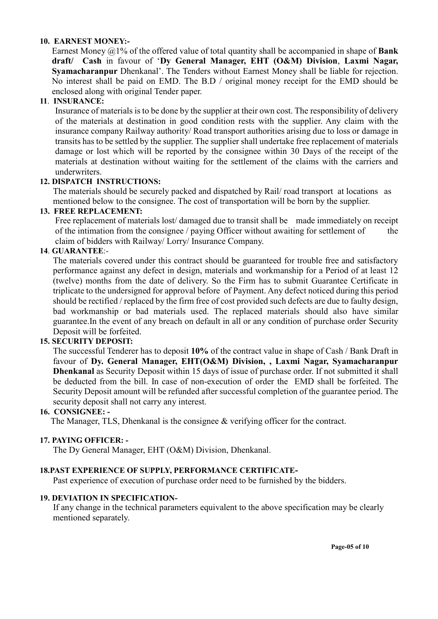## **10. EARNEST MONEY:-**

Earnest Money @1% of the offered value of total quantity shall be accompanied in shape of **Bank draft/ Cash** in favour of '**Dy General Manager, EHT (O&M) Division**, **Laxmi Nagar, Syamacharanpur** Dhenkanal'. The Tenders without Earnest Money shall be liable for rejection. No interest shall be paid on EMD. The B.D / original money receipt for the EMD should be enclosed along with original Tender paper.

## **11**. **INSURANCE:**

Insurance of materials is to be done by the supplier at their own cost. The responsibility of delivery of the materials at destination in good condition rests with the supplier. Any claim with the insurance company Railway authority/ Road transport authorities arising due to loss or damage in transits has to be settled by the supplier. The supplier shall undertake free replacement of materials damage or lost which will be reported by the consignee within 30 Days of the receipt of the materials at destination without waiting for the settlement of the claims with the carriers and underwriters.

## **12. DISPATCH INSTRUCTIONS:**

The materials should be securely packed and dispatched by Rail/ road transport at locations as mentioned below to the consignee. The cost of transportation will be born by the supplier.

## **13. FREE REPLACEMENT:**

Free replacement of materials lost/damaged due to transit shall be made immediately on receipt of the intimation from the consignee / paying Officer without awaiting for settlement of the claim of bidders with Railway/ Lorry/ Insurance Company.

## **14**. **GUARANTEE**:-

The materials covered under this contract should be guaranteed for trouble free and satisfactory performance against any defect in design, materials and workmanship for a Period of at least 12 (twelve) months from the date of delivery. So the Firm has to submit Guarantee Certificate in triplicate to the undersigned for approval before of Payment. Any defect noticed during this period should be rectified / replaced by the firm free of cost provided such defects are due to faulty design, bad workmanship or bad materials used. The replaced materials should also have similar guarantee.In the event of any breach on default in all or any condition of purchase order Security Deposit will be forfeited.

## **15. SECURITY DEPOSIT:**

The successful Tenderer has to deposit **10%** of the contract value in shape of Cash / Bank Draft in favour of **Dy. General Manager, EHT(O&M) Division, , Laxmi Nagar, Syamacharanpur Dhenkanal** as Security Deposit within 15 days of issue of purchase order. If not submitted it shall be deducted from the bill. In case of non-execution of order the EMD shall be forfeited. The Security Deposit amount will be refunded after successful completion of the guarantee period. The security deposit shall not carry any interest.

## **16. CONSIGNEE: -**

The Manager, TLS, Dhenkanal is the consignee & verifying officer for the contract.

## **17. PAYING OFFICER: -**

The Dy General Manager, EHT (O&M) Division, Dhenkanal.

## **18.PAST EXPERIENCE OF SUPPLY, PERFORMANCE CERTIFICATE-**

Past experience of execution of purchase order need to be furnished by the bidders.

## **19. DEVIATION IN SPECIFICATION-**

 If any change in the technical parameters equivalent to the above specification may be clearly mentioned separately.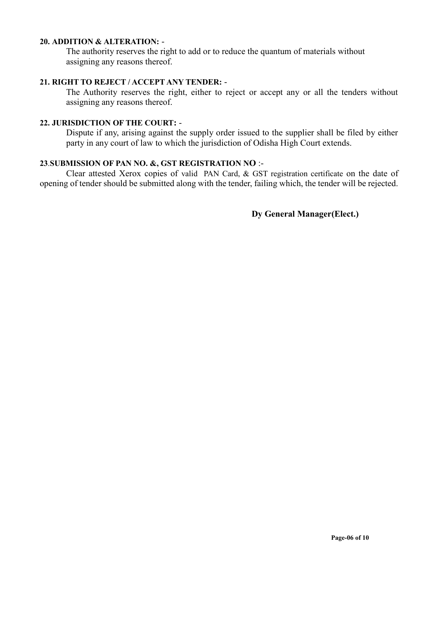## **20. ADDITION & ALTERATION:** -

The authority reserves the right to add or to reduce the quantum of materials without assigning any reasons thereof.

## **21. RIGHT TO REJECT / ACCEPT ANY TENDER:** -

The Authority reserves the right, either to reject or accept any or all the tenders without assigning any reasons thereof.

## **22. JURISDICTION OF THE COURT:** -

Dispute if any, arising against the supply order issued to the supplier shall be filed by either party in any court of law to which the jurisdiction of Odisha High Court extends.

## **23**.**SUBMISSION OF PAN NO. &, GST REGISTRATION NO** :-

Clear attested Xerox copies of valid PAN Card, & GST registration certificate on the date of opening of tender should be submitted along with the tender, failing which, the tender will be rejected.

**Dy General Manager(Elect.)**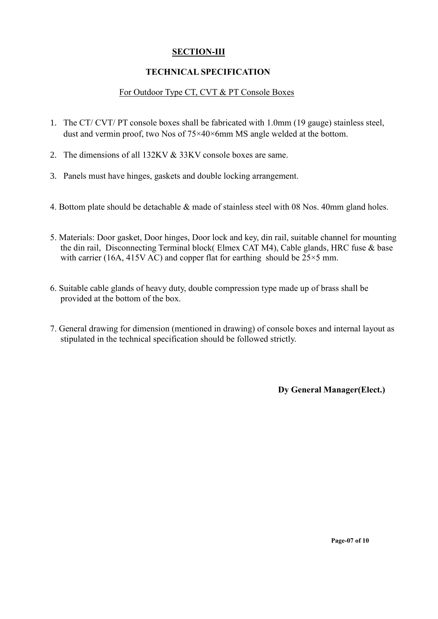## **SECTION-III**

## **TECHNICAL SPECIFICATION**

## For Outdoor Type CT, CVT & PT Console Boxes

- 1. The CT/ CVT/ PT console boxes shall be fabricated with 1.0mm (19 gauge) stainless steel, dust and vermin proof, two Nos of 75×40×6mm MS angle welded at the bottom.
- 2. The dimensions of all 132KV & 33KV console boxes are same.
- 3. Panels must have hinges, gaskets and double locking arrangement.
- 4. Bottom plate should be detachable & made of stainless steel with 08 Nos. 40mm gland holes.
- 5. Materials: Door gasket, Door hinges, Door lock and key, din rail, suitable channel for mounting the din rail, Disconnecting Terminal block( Elmex CAT M4), Cable glands, HRC fuse & base with carrier (16A, 415V AC) and copper flat for earthing should be  $25\times5$  mm.
- 6. Suitable cable glands of heavy duty, double compression type made up of brass shall be provided at the bottom of the box.
- 7. General drawing for dimension (mentioned in drawing) of console boxes and internal layout as stipulated in the technical specification should be followed strictly.

**Dy General Manager(Elect.)**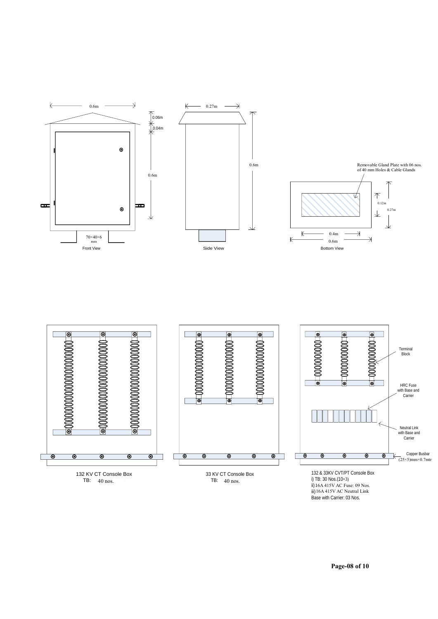

ii) 16A 415V AC Fuse: 09 No iii) 16A 415V AC Neutral Lin Base with Carrier: 03 Nos. 16A 415V AC Fuse: 09 Nos. 16A 415V AC Neutral Link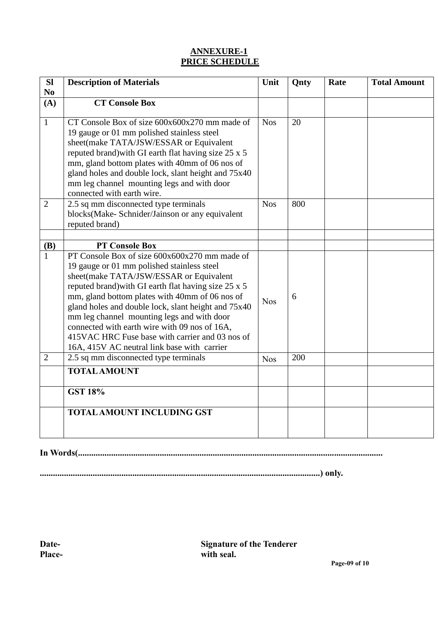## **ANNEXURE-1 PRICE SCHEDULE**

| SI                    | <b>Description of Materials</b>                                                                                                                                                                                                                                                                                                                                                                                                                                                                          | Unit       | Qnty | Rate | <b>Total Amount</b> |
|-----------------------|----------------------------------------------------------------------------------------------------------------------------------------------------------------------------------------------------------------------------------------------------------------------------------------------------------------------------------------------------------------------------------------------------------------------------------------------------------------------------------------------------------|------------|------|------|---------------------|
| N <sub>0</sub><br>(A) | <b>CT Console Box</b>                                                                                                                                                                                                                                                                                                                                                                                                                                                                                    |            |      |      |                     |
|                       |                                                                                                                                                                                                                                                                                                                                                                                                                                                                                                          |            |      |      |                     |
| $\mathbf{1}$          | CT Console Box of size 600x600x270 mm made of<br>19 gauge or 01 mm polished stainless steel<br>sheet(make TATA/JSW/ESSAR or Equivalent<br>reputed brand) with GI earth flat having size 25 x 5<br>mm, gland bottom plates with 40mm of 06 nos of<br>gland holes and double lock, slant height and 75x40<br>mm leg channel mounting legs and with door<br>connected with earth wire.                                                                                                                      | <b>Nos</b> | 20   |      |                     |
| $\overline{2}$        | 2.5 sq mm disconnected type terminals<br>blocks(Make-Schnider/Jainson or any equivalent<br>reputed brand)                                                                                                                                                                                                                                                                                                                                                                                                | <b>Nos</b> | 800  |      |                     |
|                       |                                                                                                                                                                                                                                                                                                                                                                                                                                                                                                          |            |      |      |                     |
| (B)                   | <b>PT Console Box</b>                                                                                                                                                                                                                                                                                                                                                                                                                                                                                    |            |      |      |                     |
| $\mathbf{1}$          | PT Console Box of size 600x600x270 mm made of<br>19 gauge or 01 mm polished stainless steel<br>sheet(make TATA/JSW/ESSAR or Equivalent<br>reputed brand) with GI earth flat having size 25 x 5<br>mm, gland bottom plates with 40mm of 06 nos of<br>gland holes and double lock, slant height and 75x40<br>mm leg channel mounting legs and with door<br>connected with earth wire with 09 nos of 16A,<br>415VAC HRC Fuse base with carrier and 03 nos of<br>16A, 415V AC neutral link base with carrier | <b>Nos</b> | 6    |      |                     |
| $\overline{2}$        | 2.5 sq mm disconnected type terminals                                                                                                                                                                                                                                                                                                                                                                                                                                                                    | <b>Nos</b> | 200  |      |                     |
|                       | <b>TOTAL AMOUNT</b>                                                                                                                                                                                                                                                                                                                                                                                                                                                                                      |            |      |      |                     |
|                       | <b>GST 18%</b>                                                                                                                                                                                                                                                                                                                                                                                                                                                                                           |            |      |      |                     |
|                       | <b>TOTAL AMOUNT INCLUDING GST</b>                                                                                                                                                                                                                                                                                                                                                                                                                                                                        |            |      |      |                     |

**In Words(..........................................................................................................................................**

**...............................................................................................................................) only.**

**Date- Signature of the Tenderer Place- with seal.**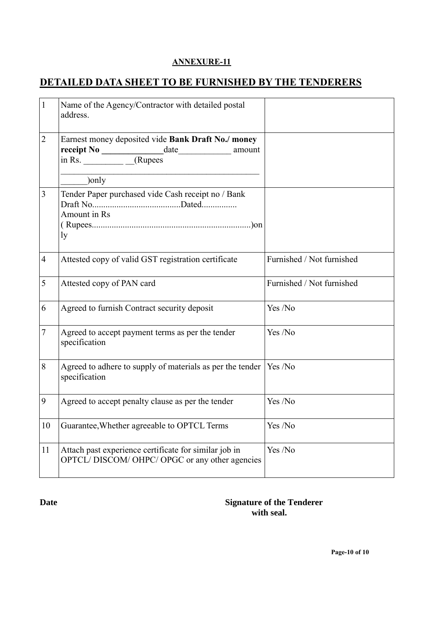## **ANNEXURE-11**

## **DETAILED DATA SHEET TO BE FURNISHED BY THE TENDERERS**

| $\mathbf{1}$   | Name of the Agency/Contractor with detailed postal<br>address.                                                                                |                           |
|----------------|-----------------------------------------------------------------------------------------------------------------------------------------------|---------------------------|
| $\overline{2}$ | Earnest money deposited vide Bank Draft No./ money<br>$\frac{\text{receipt No}}{\text{in Rs.}}$ $\frac{\text{date}}{\text{Alypes}}$<br>amount |                           |
|                | )only                                                                                                                                         |                           |
| 3              | Tender Paper purchased vide Cash receipt no / Bank<br>Amount in Rs<br>ly                                                                      |                           |
| $\overline{4}$ | Attested copy of valid GST registration certificate                                                                                           | Furnished / Not furnished |
| 5              | Attested copy of PAN card                                                                                                                     | Furnished / Not furnished |
| 6              | Agreed to furnish Contract security deposit                                                                                                   | Yes /No                   |
| 7              | Agreed to accept payment terms as per the tender<br>specification                                                                             | Yes /No                   |
| 8              | Agreed to adhere to supply of materials as per the tender<br>specification                                                                    | Yes /No                   |
| 9              | Agreed to accept penalty clause as per the tender                                                                                             | Yes /No                   |
| 10             | Guarantee, Whether agreeable to OPTCL Terms                                                                                                   | Yes /No                   |
| 11             | Attach past experience certificate for similar job in<br>OPTCL/DISCOM/OHPC/OPGC or any other agencies                                         | Yes /No                   |

**Date** Signature of the Tenderer **with seal.**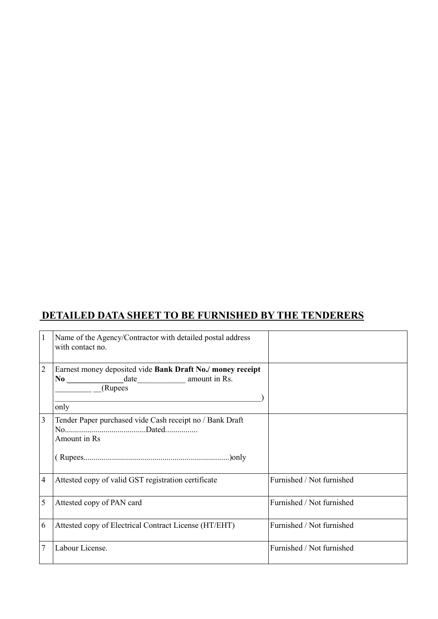# **DETAILED DATA SHEET TO BE FURNISHED BY THE TENDERERS**

| $\mathbf{1}$   | Name of the Agency/Contractor with detailed postal address<br>with contact no. |                           |
|----------------|--------------------------------------------------------------------------------|---------------------------|
| $\overline{2}$ | Earnest money deposited vide Bank Draft No./ money receipt<br>(Rupees<br>only  |                           |
| $\overline{3}$ | Tender Paper purchased vide Cash receipt no / Bank Draft<br>Amount in Rs       |                           |
| $\overline{4}$ | Attested copy of valid GST registration certificate                            | Furnished / Not furnished |
| 5              | Attested copy of PAN card                                                      | Furnished / Not furnished |
| 6              | Attested copy of Electrical Contract License (HT/EHT)                          | Furnished / Not furnished |
| 7              | Labour License.                                                                | Furnished / Not furnished |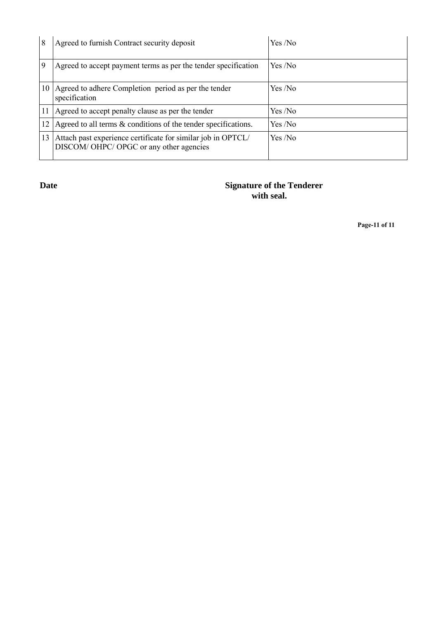| 8      | Agreed to furnish Contract security deposit                                                            | Yes /No |
|--------|--------------------------------------------------------------------------------------------------------|---------|
| 9      | Agreed to accept payment terms as per the tender specification                                         | Yes/No  |
| 10     | Agreed to adhere Completion period as per the tender<br>specification                                  | Yes /No |
| 11     | Agreed to accept penalty clause as per the tender                                                      | Yes /No |
| $12-1$ | Agreed to all terms & conditions of the tender specifications.                                         | Yes/No  |
| 13     | Attach past experience certificate for similar job in OPTCL/<br>DISCOM/OHPC/OPGC or any other agencies | Yes/No  |

## **Date** Signature of the Tenderer **with seal.**

**Page-11 of 11**